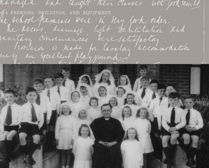nanagen and taught their classes with look result. S: PREMISES, BUILDINGS, AND EQUIPMENT. he school premises were in Koy look order. The Access, drainage light wentilation and paritan conveniences bere satisfactors Timbers is made for lavalory accommodation. wing an Sycallent playment.

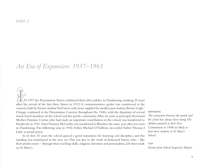# *An Era of Expansion: 1937–1961*

 $\bigcirc$ N 1937 the Presentation Sisters celebrated their silver jubilee in Dandenong, marking 25 years since the arrival of the first three Sisters in 1912.A commemorative grotto was constructed at the convent, built by former student Ted Green with stone supplied by another past student, Bernie Leigh.<sup>1</sup> Change continued at the Presentation Convent throughout the 1940s, with the departure of several much-loved members of the school and the parish community.After six years as principal, Reverend Mother Dominic Curtin, who had made an important contribution to the school, was transferred to Heathcote in 1941. Sister Vianney McCarthy was transferred to Windsor the same year, after ten years in Dandenong.The following year, in 1942, Father Michael O'Sullivan succeeded Father Thomas J Little as parish priest.

In its first 25 years the school gained a good reputation for learning and discipline, and this standing was maintained in the new era.This was due to the work of dedicated Sisters, who – like their predecessors – through their teaching skills, religious devotion and personalities, left their mark on St Mary's.

### **OPPOSITE**

*The connection between the parish and the school has always been strong.The children pictured at their First Communion in 1948 are likely to have been students at St Mary's School.*

**TOP** *Extract from School Inspector's Report.*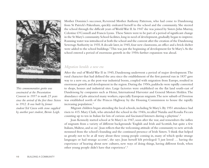

*This commemorative grotto was constructed at the Presentation Convent in 1937 to mark 25 years since the arrival of the first three Sisters in 1912. It was built by former studentTed Green with stone supplied by another past student, Bernie Leigh.*

Mother Dominic's successor, Reverend Mother Anthony Patterson, who had come to Dandenong from St Patrick's Pakenham, quickly endeared herself to the school and the community. She steered the school through the difficult years ofWorldWar II.In 1947 she was joined by Sisters John Murray, Celestine O'Connell and Francis Lyons. These Sisters were to be part of a period of significant change in the St Mary's community. School facilities, long in need of development, gradually began to improve. Running water was introduced at both the school and the convent after the creation of the Dandenong Sewerage Authority in 1935. A decade later, in 1945, four new classrooms, an office and a brick shelter were added to the school buildings. 2This was just the beginning of development for St Mary's.As the school entered a period of enormous growth in the 1950s further expansion was ahead.

## *Migration heralds a new era*

After the end of World War II in 1945, Dandenong underwent a period of major development.The rural character that had defined the area since the establishment of the first pastoral run in 1837 gave way to a new era,as the post-war industrial boom, coupled with migration from Europe, resulted in enormous growth and development in the region.During the 1950s, paddocks were rapidly converted to shops, houses and industrial sites. Large factories were established on the flat land south-east of Dandenong by companies such as Heinz, International Harvester and General Motors Holden.The abundance of jobs attracted many workers, especially European migrants.The new suburb of Doveton was established north of the Princes Highway by the Housing Commission to house the rapidly increasing population. 3

Migrant children began attending the local schools, including St Mary's.By 1951 attendance had risen to 415. Mary Clark, who attended the school in the 1940s, recalled 'Natalia and Rosalia Ficcara counting up to ten in Italian for lots of curious and fascinated listeners during a playtime'. 4

Joan Kennedy started school at St Mary's in 1947, soon after the war, and remembers the influx of migrants from a variety of different backgrounds:'English and Irish and Scottish, but quite a few Italians,Maltese,and so on'.Joan reflects that the welcoming attitude of the community to new arrivals stemmed from the school's founding and the continued presence of Irish Sisters.'I think that helped us greatly not to be at all wary about these young people coming in, many of which spoke strange languages or had strange accents', she says. Joan herself felt privileged: 'I just loved … having the experience of hearing about new cultures, new ways of doing things, having different foods, when other young people didn't have that experience'. 5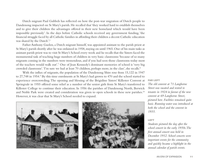Dutch migrant Paul Gubbels has reflected on how the post-war migration of Dutch people to Dandenong impacted on St Mary's parish. He recalled that 'they worked hard to establish themselves and to give their children the advantages offered in their new homeland which would have been impossible previously'. In the days before Catholic schools received any government funding, 'the financial struggle faced by all Catholic families in affording their children a decent Catholic education was shared by the Dutch'. 6

Father Anthony Guelen, a Dutch migrant himself, was appointed assistant to the parish priest at St Mary's parish shortly after he was ordained in 1958, staying on until 1965. One of his main tasks as assistant parish priest was to visit St Mary's School every week and he recalls that the Sisters faced the monumental task of teaching huge numbers of children in very basic classrooms:'because of so many migrants coming in the numbers were tremendous,and if you had seen those classrooms today most of the teachers would walk out'. <sup>7</sup> One of Joan Kennedy's dominant memories of school is 'very big crowded classrooms'.'I'm sure we had at least 70 children, perhaps more, in the class', she recalls. 8

With the influx of migrants, the population of the Dandenong Shire rose from 15,122 in 1947 to 27,748 in 1954.<sup>9</sup> By this time enrolments at St Mary's had grown to 470 and the school started to experience overcrowding.The opening and blessing of the Brigidine Sisters' Killester Convent at Springvale in 1955 offered some relief as a number of the senior girls from St Mary's transferred to Killester College to continue their education. In 1956 the parishes of Dandenong North, Berwick and Noble Park were created and consideration was given to open schools in these new parishes. $^{10}$ However, it was clear that St Mary's School needed to expand.



### **FAR LEFT**

*The old convent at 71 Langhorne Street was vacated and rented to tenants in 1924 in favour of the new convent at 69 Langhorne Street, pictured here. Facilities remained quite basic. Running water was introduced at both the school and the convent in 1935.*

#### **LEFT**

*Students pictured the day after the school concert in the early 1950s.The first annual concert was held in December 1912. School concerts were important events for the community and quickly became a highlight in the annual calendar of parish events.*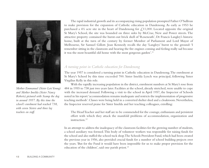

*Mother Emmanuel (Sister LoisYoung) and Mother Imelda (Sister Nancy Roberts) pictured with Scamp the dog in around 1957. By this time the school's enrolment had reached 738, with seven Sisters and three lay teachers on staff.*

The rapid industrial growth and its accompanying rising population prompted Father O'Sullivan to make provision for the expansion of Catholic education in Dandenong. As early as 1953 he purchased a  $4\frac{1}{2}$  acre site in the heart of Dandenong for  $\mathcal{L}$ , 11,000. Located opposite the original St Mary's School, the site was bounded on three sides by McCrae, New and Power streets.The attractive property contained the burnt-out brick shell of 'Roseneath', Dr Francis Langley's historic home, built at the turn of the century by former Member of Parliament and Lord Mayor of Melbourne, Sir Samuel Gillott. Joan Kennedy recalls the day 'Langleys' burnt to the ground: 'I remember sitting in the classroom and hearing the fire engines coming and feeling really sad because it was the most beautiful old home with the most gorgeous garden'. 11

## *A turning point in Catholic education for Dandenong*

The year 1957 is considered a turning point in Catholic education in Dandenong.The enrolment at St Mary's School by this time exceeded 700. Sister Imelda Lynch was principal, following Sister Virgilius Kelly in this role.

With the rapidly increasing population in the district, enrolment numbers at St Mary's rose from 484 in 1955 to 738 just two years later. Facilities at the school,already stretched, were unable to cope with the increased demand. Following a visit to the school in April 1957, the Inspector of Schools noted in his report:'accommodation remains inadequate and restricts the implementation of progressive teaching methods'.Classes were being held in a converted shelter shed and a cloakroom.Nevertheless, the Inspector reserved praise for Sister Imelda and her teaching colleagues, extolling:

The HeadTeacher and her staff are to be commended for the courage, enthusiasm and persistent effort with which they attack the manifold problems of accommodation, organization and instruction. 12

In an attempt to address the inadequacy of the classroom facilities for the growing number of students, a school auxiliary was formed.This body of volunteer workers was responsible for raising funds for the school and also staffed the school tuck shop.The Schools Provident Fund,which had been created the previous year in 1956, also provided crucial funds for a number of school building projects over the years.'But for the Fund it would have been impossible for us to make proper provision for the education of the children', said one parish priest.<sup>13</sup>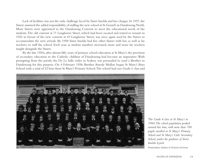Lack of facilities was not the only challenge faced by Sister Imelda and her charges.In 1957, the Sisters assumed the added responsibility of staffing the new school at St Gerard's in Dandenong North. More Sisters were appointed to the Dandenong Convent to meet the educational needs of the students.The old convent at 71 Langhorne Street, which had been vacated and rented to tenants in 1924 in favour of the new convent at 69 Langhorne Street, was once again used by the Sisters to accommodate the new arrivals. By 1958 Sister Imelda had five other Sisters with her, as well as lay teachers, to staff the school. Each year, as student numbers increased, more and more lay teachers taught alongside the Sisters.

By the late 1950s, after almost fifty years of primary school education at St Mary's, the provision of secondary education to the Catholic children of Dandenong had become an imperative.With prompting from the parish, the De La Salle order in Sydney was persuaded to send a Brother to Dandenong for this purpose. On 4 February 1958, Brother Amedy Molloy began St Mary's Boys School with a total of 52 boys from St Mary's Primary School.The school had one Grade 6 class and



*The Grade 6 class at St Mary's in 1960.The school population peaked around this time, with more than 700 pupils enrolled at St Mary's Primary School and St Mary's Girls Secondary School, under the guidance of Sister Imelda Lynch.*

Presentation Sisters of Victoria archives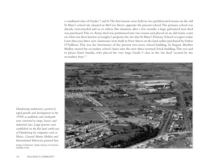a combined class of Grades 7 and 8.The first lessons were held in two prefabricated rooms on the old St Mary's school site situated in McCrae Street, opposite the present school.The primary school was already overcrowded and so, to relieve this situation, after a few months a large galvanised iron shed was purchased.This ex-Army shed was partitioned into two rooms and placed on an old tennis court on what was then known as Langley's property, the site that St Mary's Primary School occupies today. Later that year, three new classrooms were built in New Street on the land earlier purchased by Father O'Sullivan.This was the forerunner of the present two-story school building. In August, Brother Molloy moved his secondary school classes into the new three-roomed, brick building.This was said to please Sister Imelda, who placed the very large Grade 5 class in the 'tin shed' vacated by the secondary boys. 14



*Dandenong underwent a period of rapid growth and development in the 1950s as paddocks and stockyards were converted to shops, houses and industrial sites. Large factories were established on the flat land south-east of Dandenong by companies such as Heinz, General Motors Holden and International Harvester, pictured here.*

airspy collection, State Library of Victoria, H2008.41/43